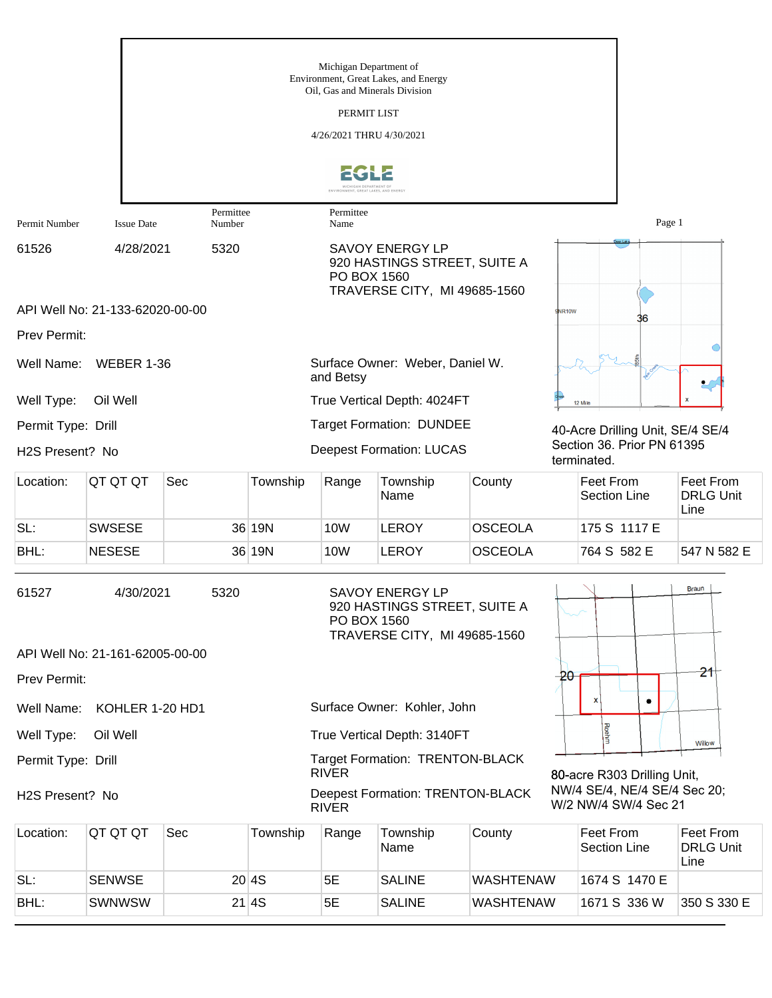|                                                                                 |                                 |                                                                                                               |          | Michigan Department of<br>Oil, Gas and Minerals Division | Environment, Great Lakes, and Energy                                                   |                  |                                                      |                                       |
|---------------------------------------------------------------------------------|---------------------------------|---------------------------------------------------------------------------------------------------------------|----------|----------------------------------------------------------|----------------------------------------------------------------------------------------|------------------|------------------------------------------------------|---------------------------------------|
|                                                                                 |                                 |                                                                                                               |          | PERMIT LIST                                              |                                                                                        |                  |                                                      |                                       |
|                                                                                 |                                 |                                                                                                               |          | 4/26/2021 THRU 4/30/2021                                 |                                                                                        |                  |                                                      |                                       |
|                                                                                 |                                 |                                                                                                               |          | MICHIGAN DEPARTMENT OF                                   |                                                                                        |                  |                                                      |                                       |
| Permit Number                                                                   | <b>Issue Date</b>               | Permittee<br>Number                                                                                           |          | Permittee<br>Name                                        |                                                                                        |                  | Page 1                                               |                                       |
| 61526                                                                           | 4/28/2021                       | 5320<br><b>SAVOY ENERGY LP</b><br>920 HASTINGS STREET, SUITE A<br>PO BOX 1560<br>TRAVERSE CITY, MI 49685-1560 |          |                                                          |                                                                                        |                  |                                                      |                                       |
|                                                                                 | API Well No: 21-133-62020-00-00 |                                                                                                               |          |                                                          |                                                                                        |                  | NR <sub>10</sub> W<br>36                             |                                       |
| Prev Permit:                                                                    |                                 |                                                                                                               |          |                                                          |                                                                                        |                  |                                                      |                                       |
| Surface Owner: Weber, Daniel W.<br>Well Name:<br><b>WEBER 1-36</b><br>and Betsy |                                 |                                                                                                               |          |                                                          |                                                                                        |                  |                                                      |                                       |
| Well Type:                                                                      | Oil Well                        |                                                                                                               |          |                                                          | True Vertical Depth: 4024FT                                                            |                  | 12 Mile                                              |                                       |
| Permit Type: Drill                                                              |                                 |                                                                                                               |          |                                                          | <b>Target Formation: DUNDEE</b>                                                        |                  | 40-Acre Drilling Unit, SE/4 SE/4                     |                                       |
| H2S Present? No                                                                 |                                 |                                                                                                               |          |                                                          | <b>Deepest Formation: LUCAS</b>                                                        |                  | Section 36. Prior PN 61395<br>terminated.            |                                       |
| Location:                                                                       | QT QT QT                        | Sec                                                                                                           | Township | Range                                                    | Township<br>Name                                                                       | County           | <b>Feet From</b><br><b>Section Line</b>              | Feet From<br><b>DRLG Unit</b><br>Line |
| SL:                                                                             | <b>SWSESE</b>                   |                                                                                                               | 36 19N   | 10W                                                      | <b>LEROY</b>                                                                           | <b>OSCEOLA</b>   | 175 S 1117 E                                         |                                       |
| BHL:                                                                            | <b>NESESE</b>                   |                                                                                                               | 36 19N   | 10W                                                      | <b>LEROY</b>                                                                           | <b>OSCEOLA</b>   | 764 S 582 E                                          | 547 N 582 E                           |
| 61527                                                                           | 4/30/2021                       | 5320                                                                                                          |          | PO BOX 1560                                              | <b>SAVOY ENERGY LP</b><br>920 HASTINGS STREET, SUITE A<br>TRAVERSE CITY, MI 49685-1560 |                  |                                                      | Braun                                 |
|                                                                                 | API Well No: 21-161-62005-00-00 |                                                                                                               |          |                                                          |                                                                                        |                  |                                                      |                                       |
| Prev Permit:                                                                    |                                 |                                                                                                               |          |                                                          |                                                                                        |                  | -20                                                  | 21                                    |
| Well Name:                                                                      | KOHLER 1-20 HD1                 |                                                                                                               |          |                                                          | Surface Owner: Kohler, John                                                            |                  | ۰                                                    |                                       |
| Well Type:                                                                      | Oil Well                        |                                                                                                               |          |                                                          | True Vertical Depth: 3140FT                                                            |                  | Roehm                                                | Willow                                |
| Permit Type: Drill                                                              |                                 |                                                                                                               |          | <b>RIVER</b>                                             | <b>Target Formation: TRENTON-BLACK</b>                                                 |                  | 80-acre R303 Drilling Unit,                          |                                       |
| H2S Present? No                                                                 |                                 |                                                                                                               |          | <b>RIVER</b>                                             | <b>Deepest Formation: TRENTON-BLACK</b>                                                |                  | NW/4 SE/4, NE/4 SE/4 Sec 20;<br>W/2 NW/4 SW/4 Sec 21 |                                       |
| Location:                                                                       | QT QT QT                        | Sec                                                                                                           | Township | Range                                                    | Township<br>Name                                                                       | County           | Feet From<br><b>Section Line</b>                     | Feet From<br><b>DRLG Unit</b><br>Line |
| SL:                                                                             | <b>SENWSE</b>                   |                                                                                                               | 20 4S    | 5E                                                       | <b>SALINE</b>                                                                          | <b>WASHTENAW</b> | 1674 S 1470 E                                        |                                       |
| BHL:                                                                            | <b>SWNWSW</b>                   |                                                                                                               | 21 4S    | 5E                                                       | <b>SALINE</b>                                                                          | <b>WASHTENAW</b> | 1671 S 336 W                                         | 350 S 330 E                           |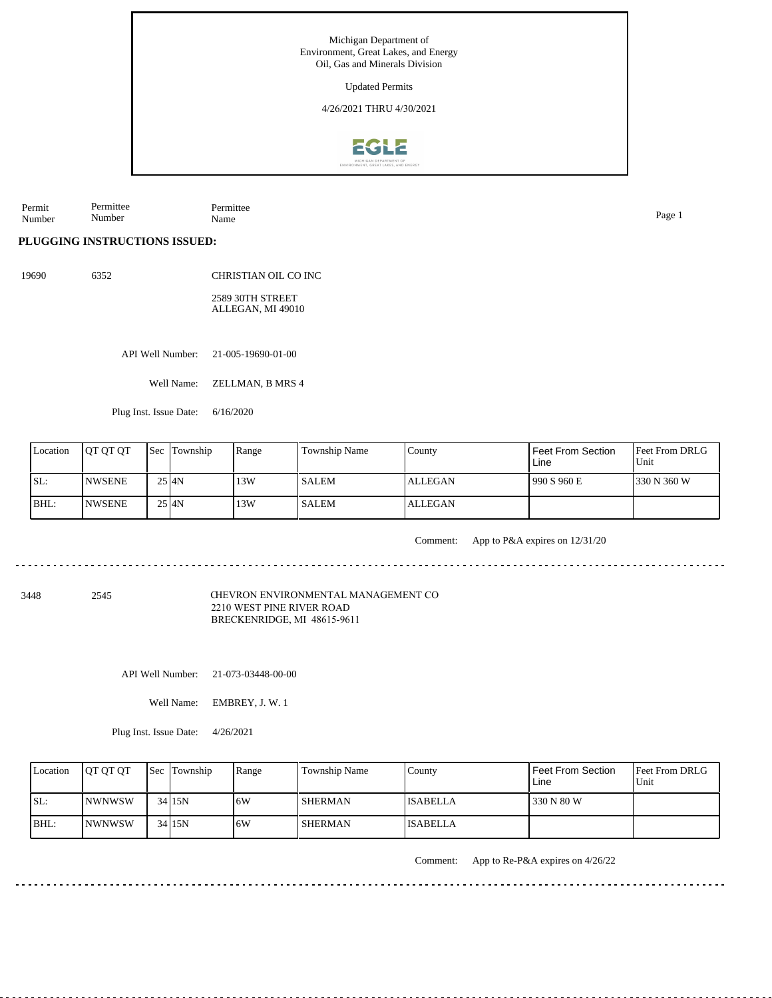Permit Number Permittee Number Permittee Name Page 1

## **PLUGGING INSTRUCTIONS ISSUED:**

19690 6352 CHRISTIAN OIL CO INC

> 2589 30TH STREET ALLEGAN, MI 49010

API Well Number: 21-005-19690-01-00

Well Name: ZELLMAN, B MRS 4

Plug Inst. Issue Date: 6/16/2020

| Location | <b>IOT OT OT</b> | <b>Sec Township</b> | Range | Township Name | County         | <sup>I</sup> Feet From Section<br>Line | <b>Feet From DRLG</b><br>l Unit |
|----------|------------------|---------------------|-------|---------------|----------------|----------------------------------------|---------------------------------|
| ISL:     | <b>INWSENE</b>   | $25$ $4N$           | 13W   | <b>SALEM</b>  | <b>ALLEGAN</b> | 990 S 960 E                            | 1330 N 360 W                    |
| IBHL:    | <b>INWSENE</b>   | $25$ $4N$           | 13W   | <b>SALEM</b>  | <b>ALLEGAN</b> |                                        |                                 |

Comment: App to P&A expires on 12/31/20

3448 2545

CHEVRON ENVIRONMENTAL MANAGEMENT CO 2210 WEST PINE RIVER ROAD BRECKENRIDGE, MI 48615-9611

API Well Number: 21-073-03448-00-00

Well Name: EMBREY, J. W. 1

Plug Inst. Issue Date: 4/26/2021

| Location | <b>OT OT OT</b> | <b>Sec</b> Township | Range | <b>Township Name</b> | Countv          | Feet From Section<br>Line | <b>Feet From DRLG</b><br>Unit |
|----------|-----------------|---------------------|-------|----------------------|-----------------|---------------------------|-------------------------------|
| SL:      | <b>INWNWSW</b>  | $34$ 15N            | 6W    | <b>SHERMAN</b>       | <b>ISABELLA</b> | 330 N 80 W                |                               |
| IBHL:    | <b>INWNWSW</b>  | $34$ 15N            | 6W    | <b>SHERMAN</b>       | <b>ISABELLA</b> |                           |                               |

Comment: App to Re-P&A expires on 4/26/22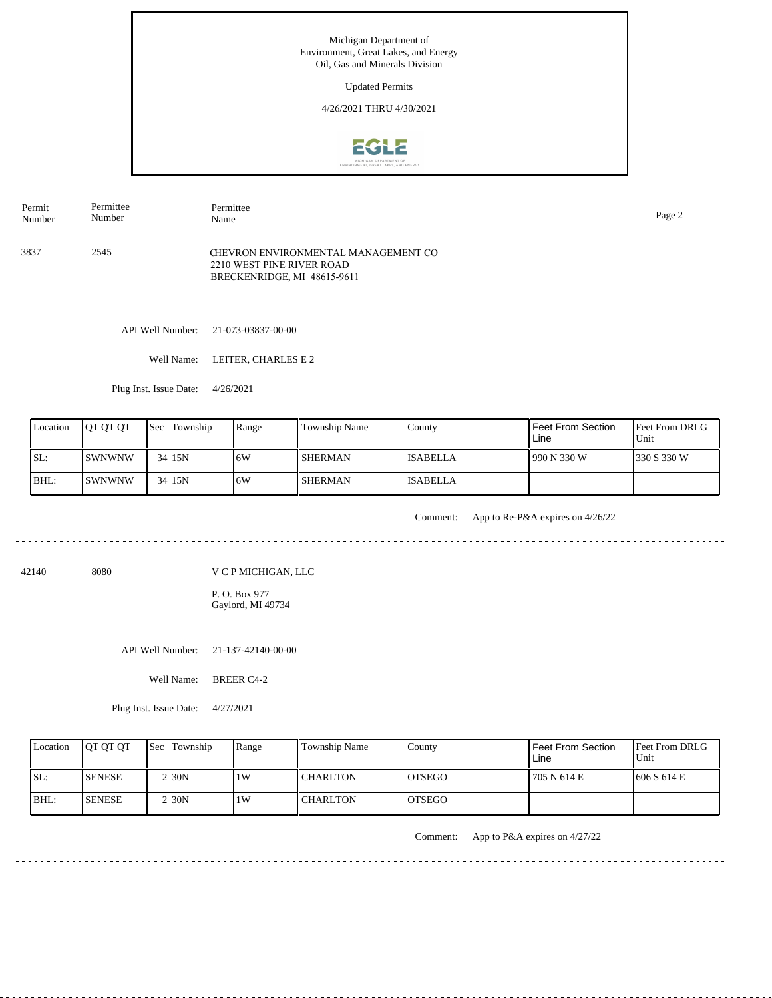3837 2545 Permit Number Permittee Number Permittee Name Page 2 CHEVRON ENVIRONMENTAL MANAGEMENT CO 2210 WEST PINE RIVER ROAD

API Well Number: 21-073-03837-00-00

Well Name: LEITER, CHARLES E 2

BRECKENRIDGE, MI 48615-9611

Plug Inst. Issue Date: 4/26/2021

| Location | <b>IOT OT OT</b> | <b>Sec Township</b> | Range | Township Name  | County          | <sup>I</sup> Feet From Section<br>Line | <b>Feet From DRLG</b><br>l Unit |
|----------|------------------|---------------------|-------|----------------|-----------------|----------------------------------------|---------------------------------|
| ISL:     | ISWNWNW          | $34$ 15N            | 16W   | <b>SHERMAN</b> | <b>ISABELLA</b> | 990 N 330 W                            | 1330 S 330 W                    |
| BHL:     | <b>SWNWNW</b>    | $34$ 15N            | 16W   | <b>SHERMAN</b> | <b>ISABELLA</b> |                                        |                                 |

. . . . . . . . . . . . . . . .

Comment: App to Re-P&A expires on 4/26/22

<u>. . . . . . . . . . . . . . .</u>

. . . . . . . . . . . . . . . . . . . .

42140 8080

V C P MICHIGAN, LLC

P. O. Box 977 Gaylord, MI 49734

API Well Number: 21-137-42140-00-00

Well Name: BREER C4-2

Plug Inst. Issue Date: 4/27/2021

|      | Location | <b>IOT OT OT</b> | <b>Sec Township</b> | Range | Township Name   | County         | <b>Feet From Section</b><br>Line | <b>Feet From DRLG</b><br>Unit |
|------|----------|------------------|---------------------|-------|-----------------|----------------|----------------------------------|-------------------------------|
| ISL: |          | <b>ISENESE</b>   | 2 I30N              | 1W    | <b>CHARLTON</b> | <b>IOTSEGO</b> | 705 N 614 E                      | 1606 S 614 E                  |
|      | BHL:     | <b>ISENESE</b>   | 2 I30N              | 1W    | <b>CHARLTON</b> | <b>IOTSEGO</b> |                                  |                               |

Comment: App to P&A expires on 4/27/22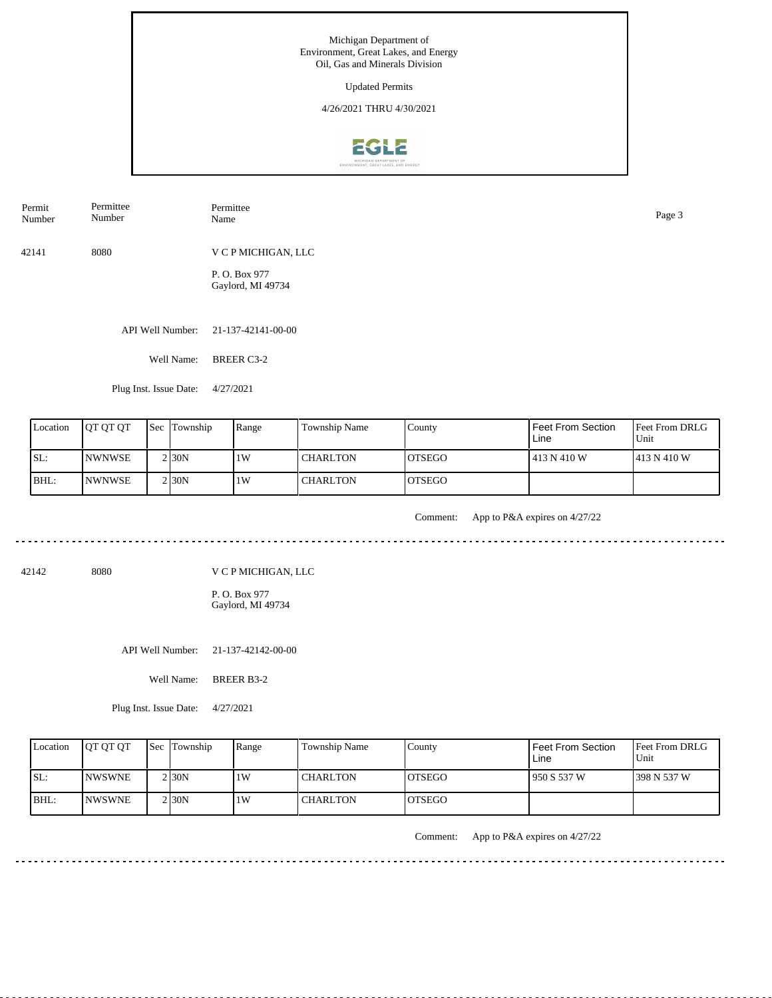| Permit<br>Number | Permittee<br>Number | Permittee<br>Name                   | Page 3 |
|------------------|---------------------|-------------------------------------|--------|
| 42141            | 8080                | V C P MICHIGAN, LLC                 |        |
|                  |                     | P.O. Box 977<br>Gaylord, MI 49734   |        |
|                  |                     | API Well Number: 21-137-42141-00-00 |        |

Well Name: BREER C3-2

Plug Inst. Issue Date: 4/27/2021

| Location | <b>OT OT OT</b> | <b>Sec Township</b> | Range | Township Name | County         | Feet From Section<br>Line | <b>Feet From DRLG</b><br>Unit |
|----------|-----------------|---------------------|-------|---------------|----------------|---------------------------|-------------------------------|
| SL:      | <b>INWNWSE</b>  | $2$ <sub>30</sub> N | 1W    | l CHARLTON    | IOTSEGO        | 413 N 410 W               | 1413 N 410 W                  |
| BHL:     | <b>INWNWSE</b>  | 2 <sub>130</sub> N  | 1W    | l CHARLTON    | <b>IOTSEGO</b> |                           |                               |

<u>. . . . . . . . . . . . . .</u>

Comment: App to P&A expires on 4/27/22

42142 8080

V C P MICHIGAN, LLC

P. O. Box 977 Gaylord, MI 49734

API Well Number: 21-137-42142-00-00

Well Name: BREER B3-2

Plug Inst. Issue Date: 4/27/2021

| Location | <b>IOT OT OT</b> | <b>Sec Township</b> | Range | Township Name   | County         | <b>Feet From Section</b><br>Line | <b>Feet From DRLG</b><br>Unit |
|----------|------------------|---------------------|-------|-----------------|----------------|----------------------------------|-------------------------------|
| ISL:     | <b>INWSWNE</b>   | 2 I 30 N            | 1W    | <b>CHARLTON</b> | IOTSEGO        | 1950 S 537 W                     | 1398 N 537 W                  |
| BHL:     | <b>INWSWNE</b>   | 2 I 30 N            | 1W    | <b>CHARLTON</b> | <b>IOTSEGO</b> |                                  |                               |

Comment: App to P&A expires on 4/27/22

. . . . . . . . . . . . . . . . . . . .

<u>. . . . . . . .</u>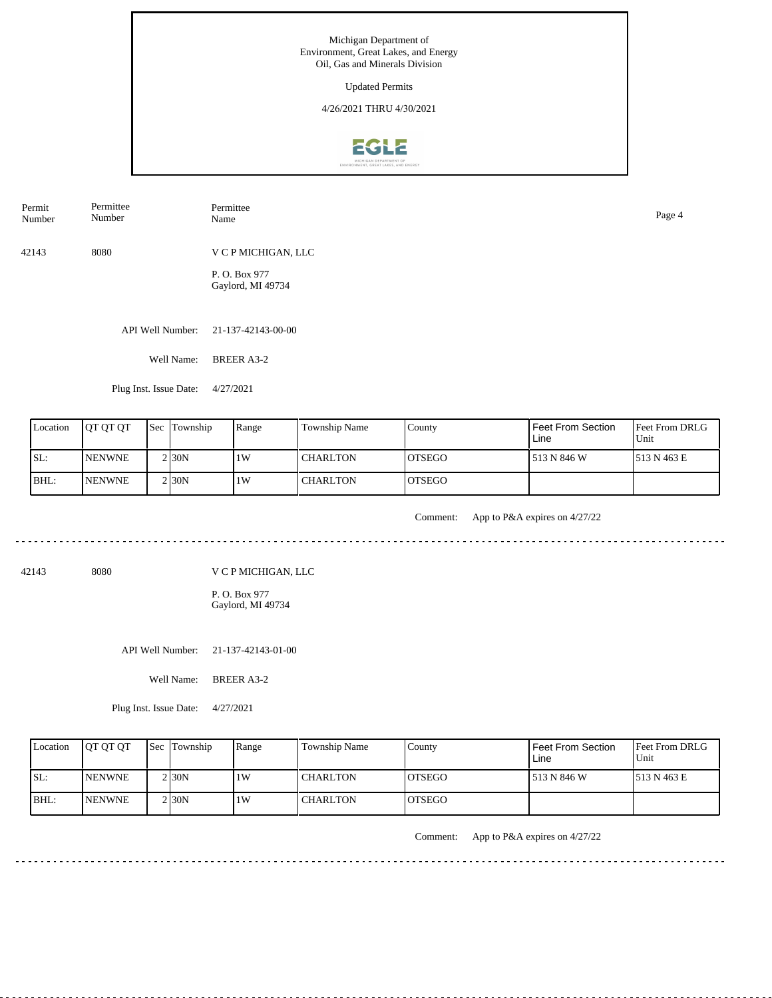| Permit<br>Number | Permittee<br>Number | Permittee<br>Name                  | Page 4 |
|------------------|---------------------|------------------------------------|--------|
| 42143            | 8080                | V C P MICHIGAN, LLC                |        |
|                  |                     | P. O. Box 977<br>Gaylord, MI 49734 |        |
|                  | API Well Number:    | 21-137-42143-00-00                 |        |

Well Name: BREER A3-2

Plug Inst. Issue Date: 4/27/2021

| Location | <b>IOT OT OT</b> | <b>Sec Township</b> | Range | Township Name | County         | Feet From Section<br>Line | Feet From DRLG<br>Unit |
|----------|------------------|---------------------|-------|---------------|----------------|---------------------------|------------------------|
| SL:      | <b>NENWNE</b>    | 2 <sub>130</sub> N  | 1W    | I CHARLTON    | IOTSEGO        | 513 N 846 W               | 1513 N 463 E           |
| BHL:     | <b>NENWNE</b>    | $2$ <sub>30</sub> N | 1W    | l CHARLTON    | <b>IOTSEGO</b> |                           |                        |

<u>. . . . . . . . . . . . . .</u>

Comment: App to P&A expires on 4/27/22

42143 8080

V C P MICHIGAN, LLC

P. O. Box 977 Gaylord, MI 49734

API Well Number: 21-137-42143-01-00

Well Name: BREER A3-2

Plug Inst. Issue Date: 4/27/2021

| Location | <b>IOT OT OT</b> | <b>Sec</b> Township | Range | Township Name   | County         | Feet From Section<br>Line | <b>Feet From DRLG</b><br>Unit |
|----------|------------------|---------------------|-------|-----------------|----------------|---------------------------|-------------------------------|
| SL:      | <b>INENWNE</b>   | 2 I 30 N            | 1W    | <b>CHARLTON</b> | IOTSEGO        | 513 N 846 W               | 1513 N 463 E                  |
| BHL:     | <b>INENWNE</b>   | 2 I 30 N            | 1 W   | <b>CHARLTON</b> | <b>IOTSEGO</b> |                           |                               |

Comment: App to P&A expires on 4/27/22

. . . . . . . . . . . . . . . . . . . .

<u>. . . . . . . . . . . . . . . . . . .</u>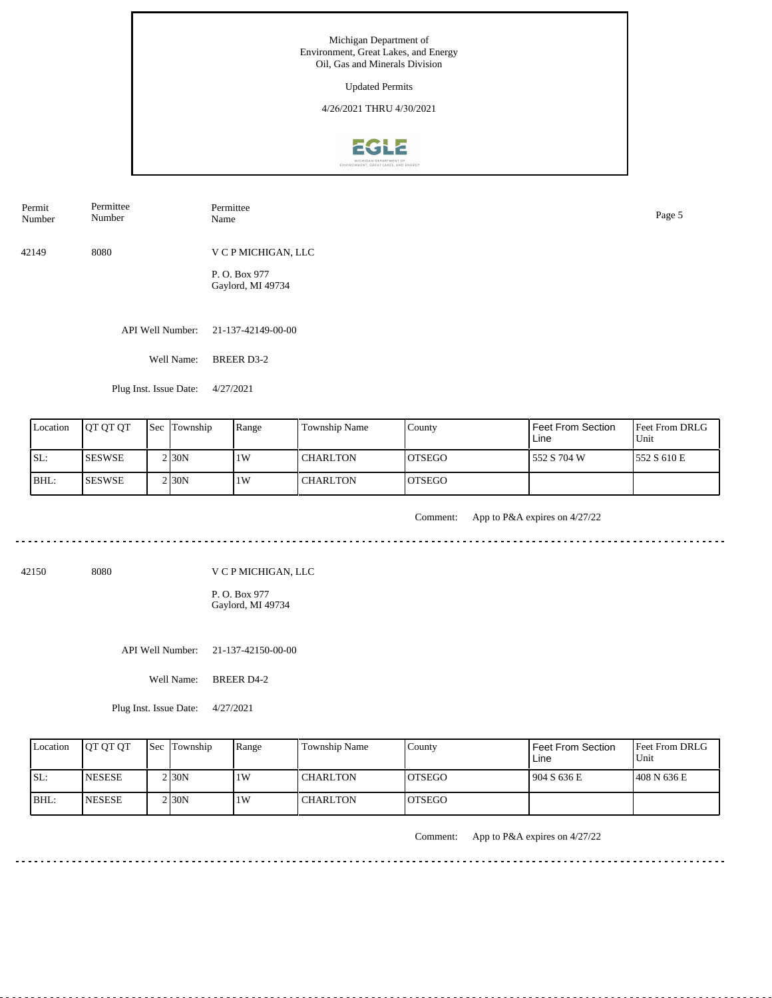| Permit<br>Number | Permittee<br>Number | Permittee<br>Name                 | Page 5 |
|------------------|---------------------|-----------------------------------|--------|
| 42149            | 8080                | V C P MICHIGAN, LLC               |        |
|                  |                     | P.O. Box 977<br>Gaylord, MI 49734 |        |
|                  | API Well Number:    | 21-137-42149-00-00                |        |
|                  | Well Name:          | <b>BREER D3-2</b>                 |        |

Plug Inst. Issue Date: 4/27/2021

| Location | <b>IOT OT OT</b> | <b>Sec Township</b> | Range | Township Name | County  | Feet From Section<br>Line | <b>Feet From DRLG</b><br>Unit |
|----------|------------------|---------------------|-------|---------------|---------|---------------------------|-------------------------------|
| ISL:     | <b>SESWSE</b>    | 2130N               | 1W    | I CHARLTON    | IOTSEGO | 552 S 704 W               | 1552 S 610 E                  |
| BHL:     | <b>ISESWSE</b>   | $2$ <sub>30</sub> N | 1W    | I CHARLTON    | IOTSEGO |                           |                               |

. . . . . . . . . . .

Comment: App to P&A expires on 4/27/22

42150 8080

V C P MICHIGAN, LLC

P. O. Box 977 Gaylord, MI 49734

API Well Number: 21-137-42150-00-00

Well Name: BREER D4-2

Plug Inst. Issue Date: 4/27/2021

| Location | <b>IOT OT OT</b> | <b>Sec</b> Township | Range | Township Name   | Countv         | Feet From Section<br>Line | <b>Feet From DRLG</b><br>Unit |
|----------|------------------|---------------------|-------|-----------------|----------------|---------------------------|-------------------------------|
| ISL:     | <b>INESESE</b>   | 2 30N               | 1W    | <b>CHARLTON</b> | <b>IOTSEGO</b> | 904 S 636 E               | 1408 N 636 E                  |
| BHL:     | <b>INESESE</b>   | $2$ <sub>30</sub> N | 1W    | <b>CHARLTON</b> | <b>IOTSEGO</b> |                           |                               |

Comment: App to P&A expires on 4/27/22

. . . . . . . . . . . . . . . . . . . .

<u>. . . . . . . .</u>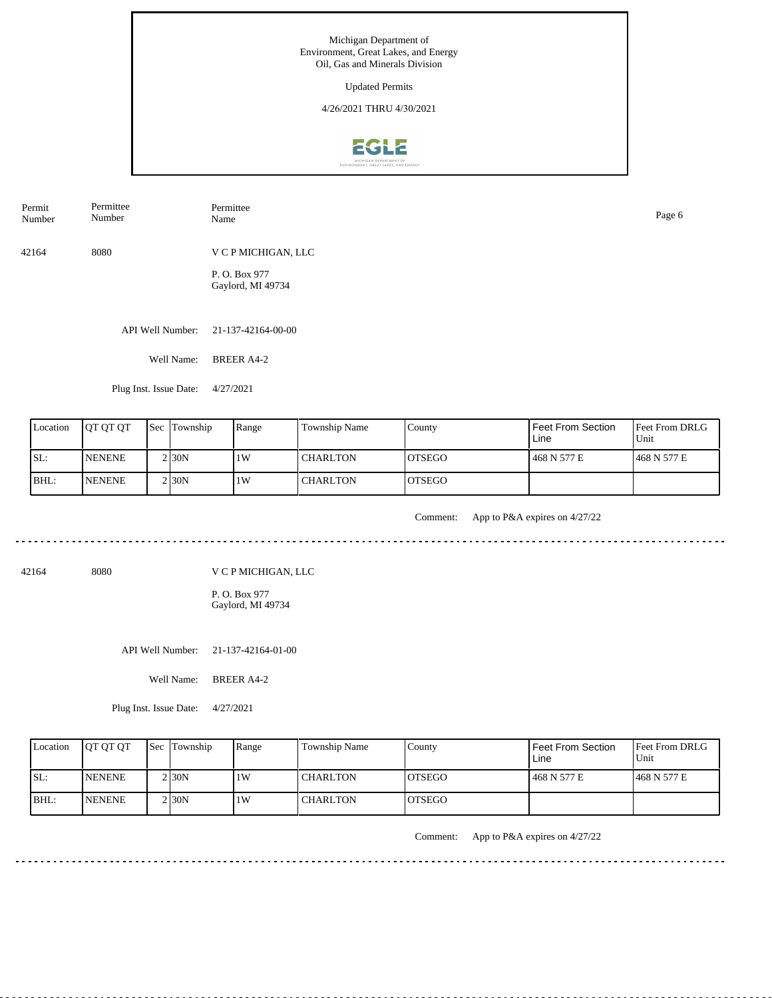| Permit<br>Number | Permittee<br>Number | Permittee<br>Name                  | Page 6 |
|------------------|---------------------|------------------------------------|--------|
| 42164            | 8080                | V C P MICHIGAN, LLC                |        |
|                  |                     | P. O. Box 977<br>Gaylord, MI 49734 |        |
|                  | API Well Number:    | 21-137-42164-00-00                 |        |
|                  | Well Name:          | <b>BREER A4-2</b>                  |        |

Plug Inst. Issue Date: 4/27/2021

| Location | <b>OT OT OT</b> | <b>Sec Township</b> | Range | Township Name | County         | Feet From Section<br>Line | <b>Feet From DRLG</b><br>Unit |
|----------|-----------------|---------------------|-------|---------------|----------------|---------------------------|-------------------------------|
| SL:      | <b>NENENE</b>   | 2 <sub>30</sub> N   | 1W    | I CHARLTON    | IOTSEGO        | 468 N 577 E               | 468 N 577 E                   |
| BHL:     | <b>NENENE</b>   | $2$ <sub>30</sub> N | 1W    | l CHARLTON    | <b>IOTSEGO</b> |                           |                               |

<u>. . . . . . . . . . . . . .</u>

Comment: App to P&A expires on 4/27/22

42164 8080

V C P MICHIGAN, LLC

P. O. Box 977 Gaylord, MI 49734

API Well Number: 21-137-42164-01-00

Well Name: BREER A4-2

Plug Inst. Issue Date: 4/27/2021

| Location    | <b>IOT OT OT</b> | <b>Sec Township</b> | Range | Township Name   | Countv         | <b>Feet From Section</b><br>Line | <b>Feet From DRLG</b><br>Unit |
|-------------|------------------|---------------------|-------|-----------------|----------------|----------------------------------|-------------------------------|
| SL:         | <b>INENENE</b>   | 2 I30N              | 1W    | <b>CHARLTON</b> | <b>IOTSEGO</b> | 468 N 577 E                      | 468 N 577 E                   |
| <b>BHL:</b> | <b>INENENE</b>   | 2 I 30 N            | 1W    | <b>CHARLTON</b> | <b>IOTSEGO</b> |                                  |                               |

Comment: App to P&A expires on 4/27/22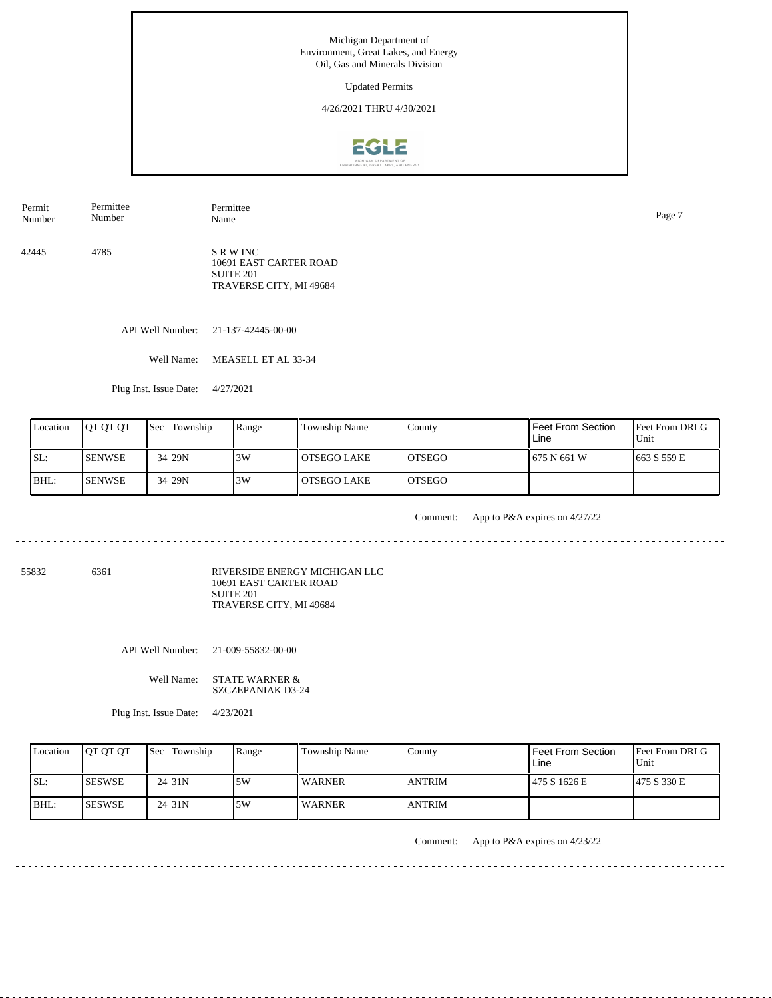Updated Permits

4/26/2021 THRU 4/30/2021



Permit Number Permittee Number

42445 4785 S R W INC 10691 EAST CARTER ROAD SUITE 201 TRAVERSE CITY, MI 49684

API Well Number: 21-137-42445-00-00

Well Name: MEASELL ET AL 33-34

Permittee

Plug Inst. Issue Date: 4/27/2021

| Location | <b>OT OT OT</b> | <b>Sec Township</b> | Range | Township Name | County         | <b>Feet From Section</b><br>Line | <b>Feet From DRLG</b><br>Unit |
|----------|-----------------|---------------------|-------|---------------|----------------|----------------------------------|-------------------------------|
| SL:      | <b>SENWSE</b>   | 34 29N              | 3W    | OTSEGO LAKE   | <b>LOTSEGO</b> | 1675 N 661 W                     | $1663$ S 559 E                |
| BHL:     | <b>ISENWSE</b>  | 34 29N              | 13W   | OTSEGO LAKE   | <b>LOTSEGO</b> |                                  |                               |

<u>. . . . . . . . .</u>

Comment: App to P&A expires on 4/27/22

55832 6361

RIVERSIDE ENERGY MICHIGAN LLC 10691 EAST CARTER ROAD SUITE 201 TRAVERSE CITY, MI 49684

API Well Number: 21-009-55832-00-00

Well Name: STATE WARNER & SZCZEPANIAK D3-24

Plug Inst. Issue Date: 4/23/2021

| Location | <b>OT OT OT</b> | <b>Sec Township</b> | Range | Township Name | Countv        | <b>Feet From Section</b><br>Line | <b>Feet From DRLG</b><br>Unit |
|----------|-----------------|---------------------|-------|---------------|---------------|----------------------------------|-------------------------------|
| SL:      | <b>ISESWSE</b>  | 24131N              | 5W    | WARNER        | <b>ANTRIM</b> | 475 S 1626 E                     | 475 S 330 E                   |
| BHL:     | <b>ISESWSE</b>  | 24 31N              | .5W   | <b>WARNER</b> | <b>ANTRIM</b> |                                  |                               |

Comment: App to P&A expires on 4/23/22

Name Page 7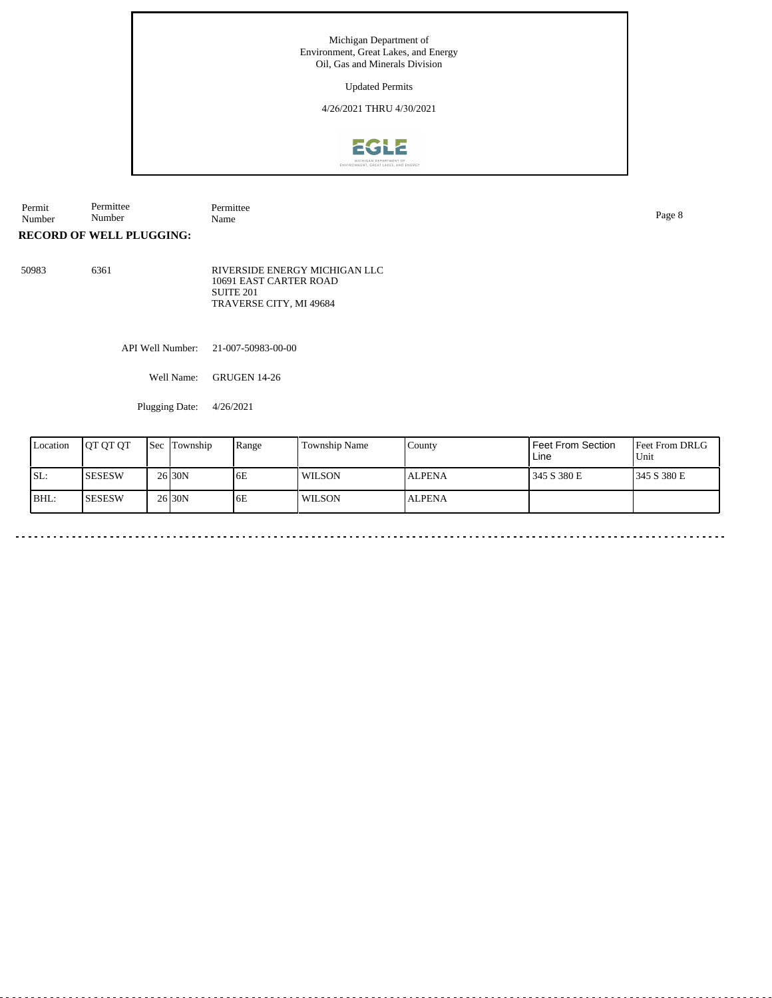Updated Permits

4/26/2021 THRU 4/30/2021



Permit Number Permittee Number Permittee<br>Name Name Page 8

**RECORD OF WELL PLUGGING:**

50983 6361 RIVERSIDE ENERGY MICHIGAN LLC 10691 EAST CARTER ROAD SUITE 201 TRAVERSE CITY, MI 49684

API Well Number: 21-007-50983-00-00

Well Name: GRUGEN 14-26

Plugging Date: 4/26/2021

| Location | <b>IOT OT OT</b> | <b>Sec Township</b> | Range | Township Name | County        | <b>Feet From Section</b><br>Line | <b>Feet From DRLG</b><br>Unit |
|----------|------------------|---------------------|-------|---------------|---------------|----------------------------------|-------------------------------|
| SL:      | <b>SESESW</b>    | 26 <sub>130</sub> N | 6E    | WILSON        | <b>ALPENA</b> | 345 S 380 E                      | 1345 S 380 E                  |
| BHL:     | <b>SESESW</b>    | 26 <sub>130</sub> N | 6E    | WILSON        | <b>ALPENA</b> |                                  |                               |

 $\sim$   $\sim$   $\sim$   $\sim$   $\sim$ 

 $\sim$   $\sim$   $\sim$   $\sim$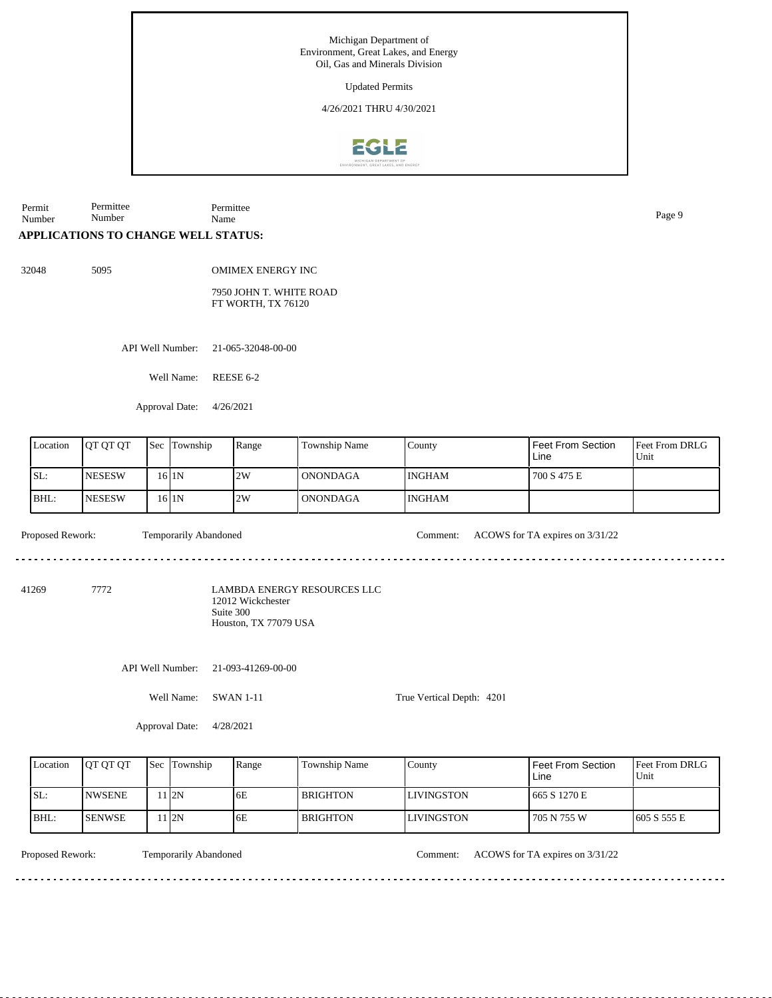Updated Permits

4/26/2021 THRU 4/30/2021



Permit Number Permittee Number Permittee Name Page 9

# **APPLICATIONS TO CHANGE WELL STATUS:**

32048 5095

OMIMEX ENERGY INC

7950 JOHN T. WHITE ROAD FT WORTH, TX 76120

API Well Number: 21-065-32048-00-00

Well Name: REESE 6-2

Approval Date: 4/26/2021

| Location         | QT QT QT      |  | Sec Township                                            | Range                       | Township Name   | County                    | <b>Feet From Section</b><br>Line | Feet From DRLG<br>Unit |
|------------------|---------------|--|---------------------------------------------------------|-----------------------------|-----------------|---------------------------|----------------------------------|------------------------|
| SL:              | <b>NESESW</b> |  | $16$  1N                                                | 2W                          | <b>ONONDAGA</b> | <b>INGHAM</b>             | 700 S 475 E                      |                        |
| BHL:             | <b>NESESW</b> |  | $16$   $1$ N                                            | 2W                          | <b>ONONDAGA</b> | <b>INGHAM</b>             |                                  |                        |
| Proposed Rework: |               |  | Temporarily Abandoned                                   |                             |                 | Comment:                  | ACOWS for TA expires on 3/31/22  |                        |
| 7772<br>41269    |               |  | 12012 Wickchester<br>Suite 300<br>Houston, TX 77079 USA | LAMBDA ENERGY RESOURCES LLC |                 |                           |                                  |                        |
|                  |               |  | API Well Number:                                        | 21-093-41269-00-00          |                 |                           |                                  |                        |
|                  |               |  | Well Name:                                              | <b>SWAN 1-11</b>            |                 | True Vertical Depth: 4201 |                                  |                        |
|                  |               |  | Approval Date:                                          | 4/28/2021                   |                 |                           |                                  |                        |
|                  |               |  |                                                         |                             |                 |                           |                                  |                        |

| Location | <b>IOT OT OT</b> | <b>Sec</b> | Township | Range | <b>Township Name</b> | County             | l Feet From Section<br>Line | <b>Feet From DRLG</b><br>Unit |
|----------|------------------|------------|----------|-------|----------------------|--------------------|-----------------------------|-------------------------------|
| SL:      | <b>INWSENE</b>   |            | l I2N    | 6E    | <b>BRIGHTON</b>      | <b>ILIVINGSTON</b> | 665 S 1270 E                |                               |
| IBHL:    | <b>ISENWSE</b>   |            | 12N      | 6E    | <b>BRIGHTON</b>      | <b>LIVINGSTON</b>  | 705 N 755 W                 | 1605 S 555 E                  |

Temporarily Abandoned

Proposed Rework: Temporarily Abandoned Comment: ACOWS for TA expires on  $3/31/22$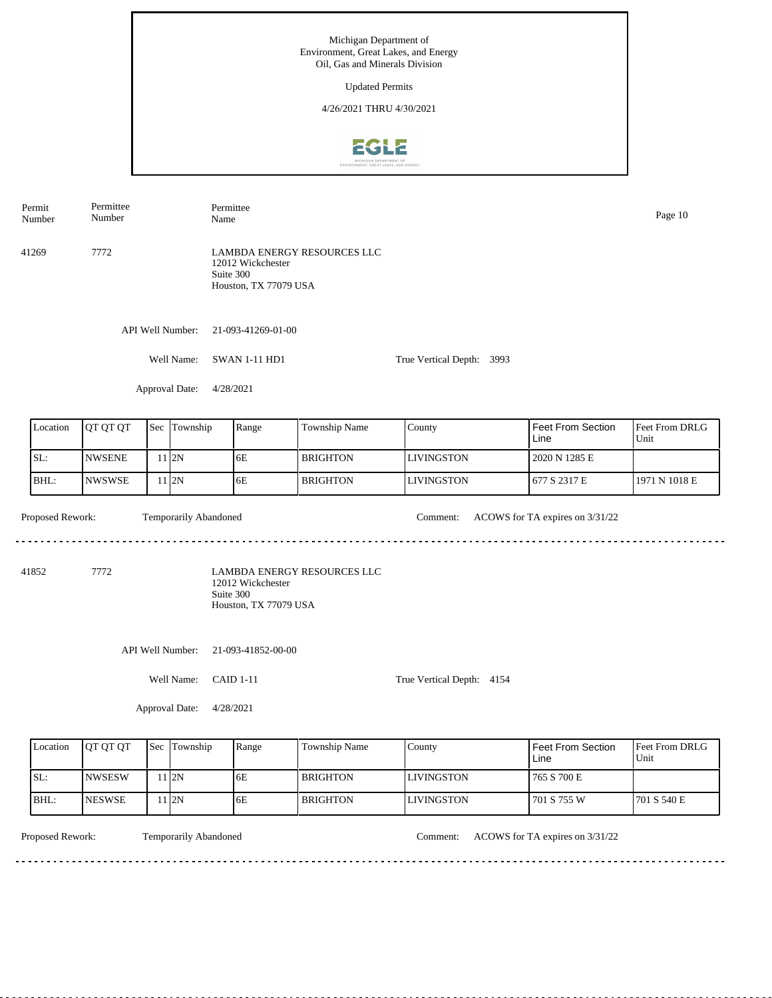API Well Number: 21-093-41269-01-00 Well Name: SWAN 1-11 HD1 Approval Date: 4/28/2021 True Vertical Depth: 3993 41269 7772 LAMBDA ENERGY RESOURCES LLC 12012 Wickchester Suite 300 Houston, TX 77079 USA Number Number Permittee Name Page 10

| Location | <b>JOT OT OT</b> | l Sec | Township | Range | <b>Township Name</b> | County            | Feet From Section<br>Line | <b>Feet From DRLG</b><br>Unit |
|----------|------------------|-------|----------|-------|----------------------|-------------------|---------------------------|-------------------------------|
| SL:      | <b>INWSENE</b>   |       | 112N     | 6E    | l BRIGHTON-          | <b>LIVINGSTON</b> | 2020 N 1285 E             |                               |
| BHL:     | <b>INWSWSE</b>   |       | 112N     | 6E    | l BRIGHTON-          | <b>LIVINGSTON</b> | 677 S 2317 E              | 1971 N 1018 E                 |

Temporarily Abandoned

<u>. . . . . . .</u>

Proposed Rework: Temporarily Abandoned Comment: ACOWS for TA expires on  $3/31/22$ 

41852 7772

Permit

Permittee

LAMBDA ENERGY RESOURCES LLC 12012 Wickchester Suite 300 Houston, TX 77079 USA

API Well Number: 21-093-41852-00-00

Well Name: CAID 1-11

True Vertical Depth: 4154

Approval Date: 4/28/2021

| Location | <b>IOT OT OT</b> | <b>Sec Township</b> | Range | Township Name   | Countv     | l Feet From Section_<br>Line | Feet From DRLG<br>Unit |
|----------|------------------|---------------------|-------|-----------------|------------|------------------------------|------------------------|
| ISL:     | <b>INWSESW</b>   | 1 I 2 N             | 6E    | <b>BRIGHTON</b> | LIVINGSTON | 1765 S 700 E                 |                        |
| IBHL:    | <b>INESWSE</b>   | 1 I 2 N             | 6E    | <b>BRIGHTON</b> | LIVINGSTON | 1701 S 755 W                 | 1701 S 540 E           |

<u> - - - - - - - - -</u>

Temporarily Abandoned

Proposed Rework: Temporarily Abandoned Comment: ACOWS for TA expires on  $3/31/22$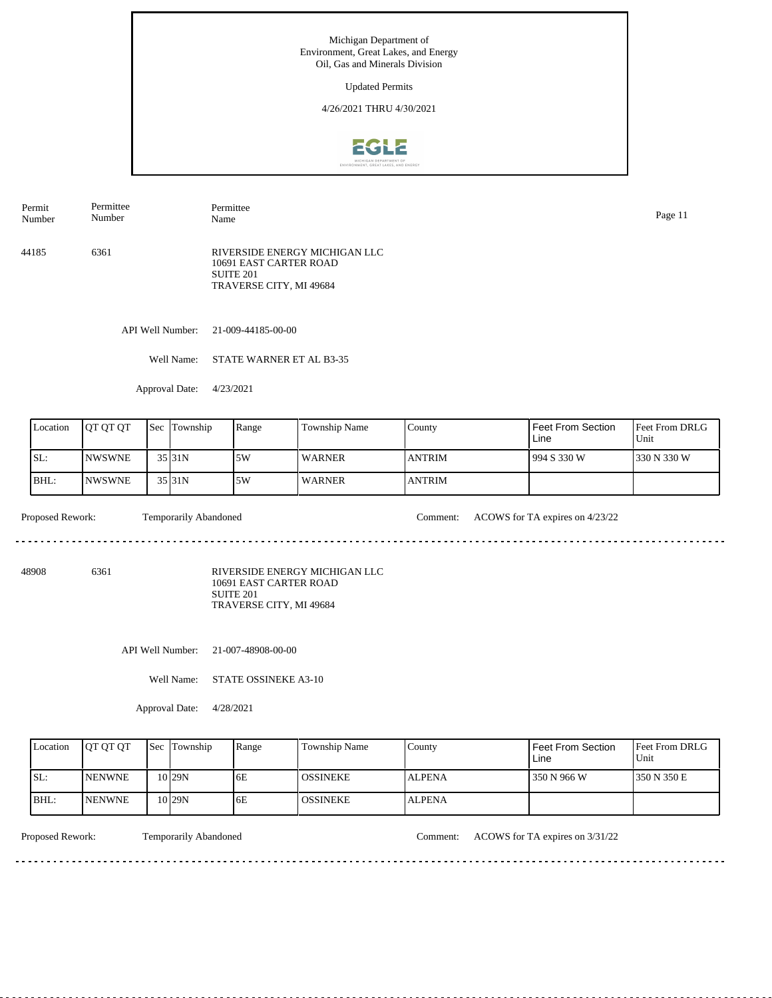Updated Permits

4/26/2021 THRU 4/30/2021



44185 6361 RIVERSIDE ENERGY MICHIGAN LLC 10691 EAST CARTER ROAD SUITE 201 TRAVERSE CITY, MI 49684 Permit Number Permittee Number Permittee Name Page 11

API Well Number: 21-009-44185-00-00

Well Name: STATE WARNER ET AL B3-35

Approval Date: 4/23/2021

| Location | <b>OT OT OT</b> | <b>Sec</b> | Township | Range | Township Name | County        | Feet From Section<br>Line | <b>Feet From DRLG</b><br>Unit |
|----------|-----------------|------------|----------|-------|---------------|---------------|---------------------------|-------------------------------|
| ISL:     | <b>NWSWNE</b>   |            | 35 31N   | .5W   | <b>WARNER</b> | <b>ANTRIM</b> | 994 S 330 W               | 1330 N 330 W                  |
| BHL:     | <b>NWSWNE</b>   |            | 35 31N   | 5W    | <b>WARNER</b> | <b>ANTRIM</b> |                           |                               |

<u>. . . . . . . .</u>

Proposed Rework: Temporarily Abandoned Comment: ACOWS for TA expires on  $4/23/22$ 

. . . . . . . . . . . . . .

48908 6361

RIVERSIDE ENERGY MICHIGAN LLC 10691 EAST CARTER ROAD SUITE 201 TRAVERSE CITY, MI 49684

API Well Number: 21-007-48908-00-00

Well Name: STATE OSSINEKE A3-10

Approval Date: 4/28/2021

| Location    | <b>OT OT OT</b> | <b>Sec Township</b> | Range | Township Name   | County        | Feet From Section<br>Line | <b>Feet From DRLG</b><br>Unit |
|-------------|-----------------|---------------------|-------|-----------------|---------------|---------------------------|-------------------------------|
| ISL:        | <b>INENWNE</b>  | 10 <sub>29N</sub>   | 6E    | <b>OSSINEKE</b> | <b>ALPENA</b> | 350 N 966 W               | 1350 N 350 E                  |
| <b>BHL:</b> | <b>INENWNE</b>  | 10129N              | 6E    | <b>OSSINEKE</b> | <b>ALPENA</b> |                           |                               |

<u> - - - - - - - - -</u>

Proposed Rework: Temporarily Abandoned Comment: ACOWS for TA expires on  $3/31/22$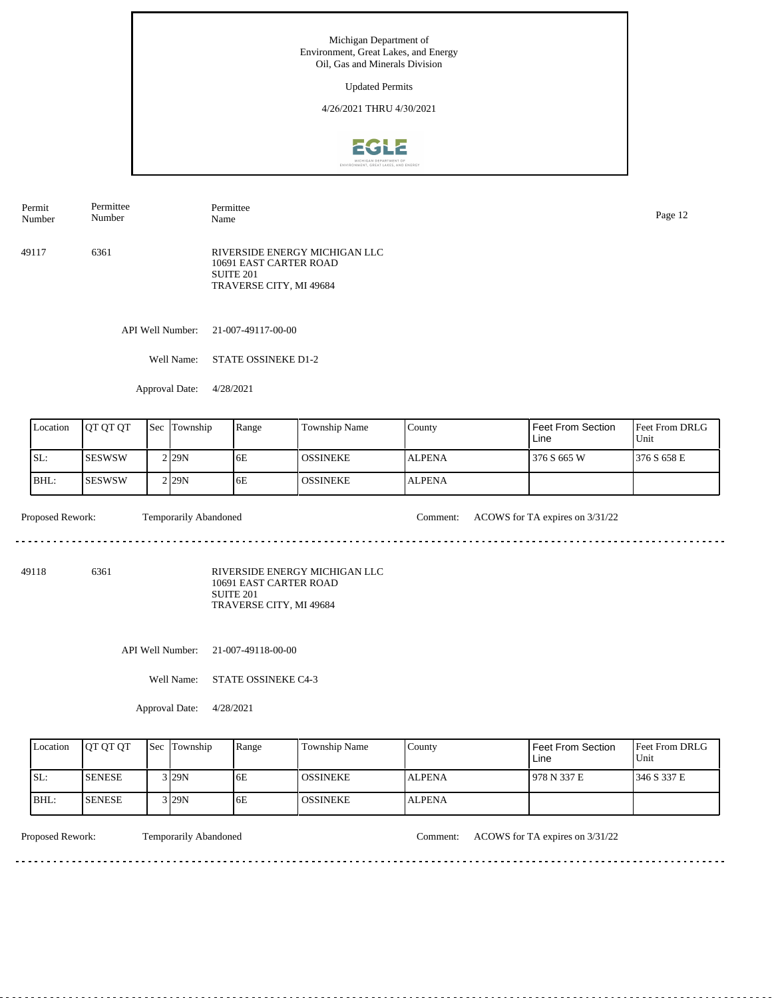Updated Permits

4/26/2021 THRU 4/30/2021



49117 6361 RIVERSIDE ENERGY MICHIGAN LLC 10691 EAST CARTER ROAD SUITE 201 TRAVERSE CITY, MI 49684 Permit Number Permittee Number Permittee Name Page 12

API Well Number: 21-007-49117-00-00

Well Name: STATE OSSINEKE D1-2

Approval Date: 4/28/2021

| Location | <b>OT OT OT</b> | <b>Sec</b> | Township           | Range | <b>Township Name</b> | County        | Feet From Section<br>Line | <b>Feet From DRLG</b><br>Unit |
|----------|-----------------|------------|--------------------|-------|----------------------|---------------|---------------------------|-------------------------------|
| SL:      | <b>SESWSW</b>   |            | 2 <sub>129</sub> N | 6E    | <b>LOSSINEKE</b>     | <b>ALPENA</b> | 376 S 665 W               | 1376 S 658 E                  |
| BHL:     | <b>ISESWSW</b>  |            | 2 <sub>129</sub> N | 6E    | <b>OSSINEKE</b>      | <b>ALPENA</b> |                           |                               |

<u>. . . . . . .</u>

Proposed Rework: Temporarily Abandoned Comment: ACOWS for TA expires on  $3/31/22$ 

<u>. . . . . . . . . . . . .</u>

49118 6361

RIVERSIDE ENERGY MICHIGAN LLC 10691 EAST CARTER ROAD SUITE 201 TRAVERSE CITY, MI 49684

API Well Number: 21-007-49118-00-00

Well Name: STATE OSSINEKE C4-3

Approval Date: 4/28/2021

| Location | <b>IOT OT OT</b> | <b>Sec</b> Township | Range | Township Name   | County        | Feet From Section<br>Line | <b>Feet From DRLG</b><br>Unit |
|----------|------------------|---------------------|-------|-----------------|---------------|---------------------------|-------------------------------|
| ISL:     | <b>SENESE</b>    | 3 I29N              | 6E    | <b>OSSINEKE</b> | <b>ALPENA</b> | 978 N 337 E               | 1346 S 337 E                  |
| IBHL:    | <b>ISENESE</b>   | 3 I29N              | 6E    | <b>OSSINEKE</b> | <b>ALPENA</b> |                           |                               |

<u> - - - - - - - - -</u>

Proposed Rework: Temporarily Abandoned Comment: ACOWS for TA expires on  $3/31/22$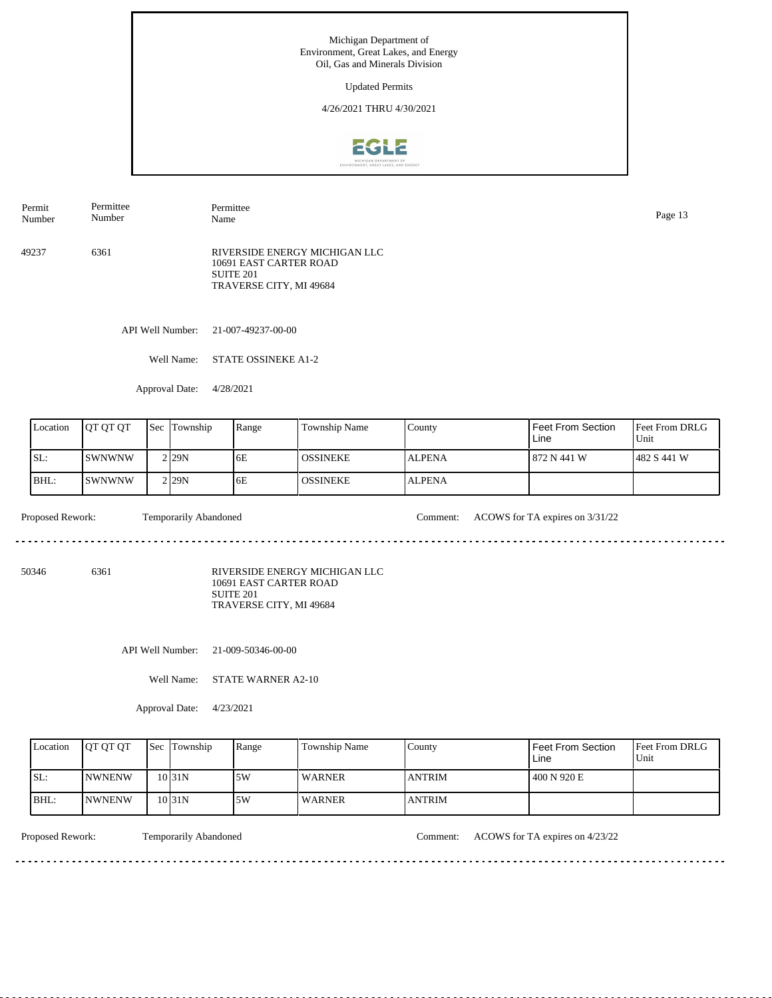Updated Permits

4/26/2021 THRU 4/30/2021



49237 6361 RIVERSIDE ENERGY MICHIGAN LLC 10691 EAST CARTER ROAD SUITE 201 TRAVERSE CITY, MI 49684 Permit Number Permittee Number Permittee Page 13<br>Name Page 13

API Well Number: 21-007-49237-00-00

Well Name: STATE OSSINEKE A1-2

Approval Date: 4/28/2021

| Location | <b>IOT OT OT</b> | 'Sec | Township          | Range | Township Name | County        | Feet From Section<br>Line | <b>Feet From DRLG</b><br>Unit |
|----------|------------------|------|-------------------|-------|---------------|---------------|---------------------------|-------------------------------|
| ISL:     | ISWNWNW          |      | 2 <sub>129N</sub> | 6E    | I OSSINEKE.   | <b>ALPENA</b> | l 872 N 441 W             | 1482 S 441 W                  |
| BHL:     | ISWNWNW          |      | 2 <sub>29N</sub>  | 6E    | I OSSINEKE.   | <b>ALPENA</b> |                           |                               |

<u>. . . . . . .</u>

Proposed Rework: Temporarily Abandoned Comment: ACOWS for TA expires on  $3/31/22$ 

<u>. . . . . . . . . . .</u>

50346 6361

RIVERSIDE ENERGY MICHIGAN LLC 10691 EAST CARTER ROAD SUITE 201 TRAVERSE CITY, MI 49684

API Well Number: 21-009-50346-00-00

Well Name: STATE WARNER A2-10

Approval Date: 4/23/2021

| Location | <b>IOT OT OT</b> | <b>Sec Township</b> | Range | Township Name | County         | Feet From Section<br>∟ine | <b>Feet From DRLG</b><br>Unit |
|----------|------------------|---------------------|-------|---------------|----------------|---------------------------|-------------------------------|
| ISL:     | <b>INWNENW</b>   | $10$ <sub>31N</sub> | 5W    | <b>WARNER</b> | <b>ANTRIM</b>  | 400 N 920 E               |                               |
| BHL:     | <b>INWNENW</b>   | $10$ <sub>31N</sub> | 5W    | <b>WARNER</b> | <b>LANTRIM</b> |                           |                               |

Proposed Rework: Temporarily Abandoned Comment: ACOWS for TA expires on  $4/23/22$ 

<u> - - - - - - - - -</u>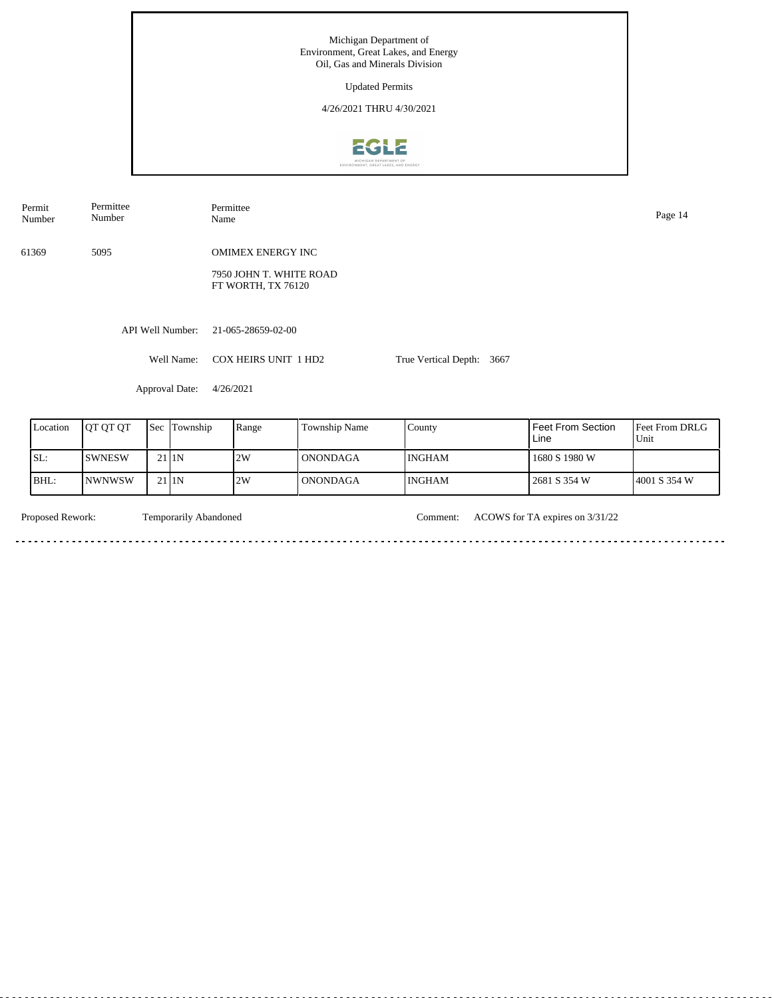| Permit<br>Number | Permittee<br>Number |     | Permittee<br>Name |                                                                           |               |                      |      |                           | Page 14             |
|------------------|---------------------|-----|-------------------|---------------------------------------------------------------------------|---------------|----------------------|------|---------------------------|---------------------|
| 61369            | 5095                |     |                   | <b>OMIMEX ENERGY INC</b><br>7950 JOHN T. WHITE ROAD<br>FT WORTH, TX 76120 |               |                      |      |                           |                     |
|                  |                     |     | API Well Number:  | 21-065-28659-02-00                                                        |               |                      |      |                           |                     |
|                  |                     |     | Well Name:        | <b>COX HEIRS UNIT 1 HD2</b>                                               |               | True Vertical Depth: | 3667 |                           |                     |
|                  |                     |     | Approval Date:    | 4/26/2021                                                                 |               |                      |      |                           |                     |
| Location         | QT QT QT            | Sec | Township          | Range                                                                     | Township Name | County               |      | Feet From Section<br>Line | Feet From D<br>Unit |

| Location | <b>IOT OT OT</b> |                   | <b>Sec Township</b> | Range | <b>Township Name</b> | County        | Feet From Section<br>Line | <b>Feet From DRLG</b><br>Unit |
|----------|------------------|-------------------|---------------------|-------|----------------------|---------------|---------------------------|-------------------------------|
| SL:      | ISWNESW          | 21 <sub>I1N</sub> |                     | 2W    | l ONONDAGA           | <b>INGHAM</b> | 1680 S 1980 W             |                               |
| BHL:     | <b>INWNWSW</b>   |                   | $21$  1N            | 2W    | <b>ONONDAGA</b>      | <b>INGHAM</b> | 2681 S 354 W              | 14001 S 354 W                 |

Temporarily Abandoned a dia dia dia dia

Proposed Rework: Temporarily Abandoned Comment: ACOWS for TA expires on  $3/31/22$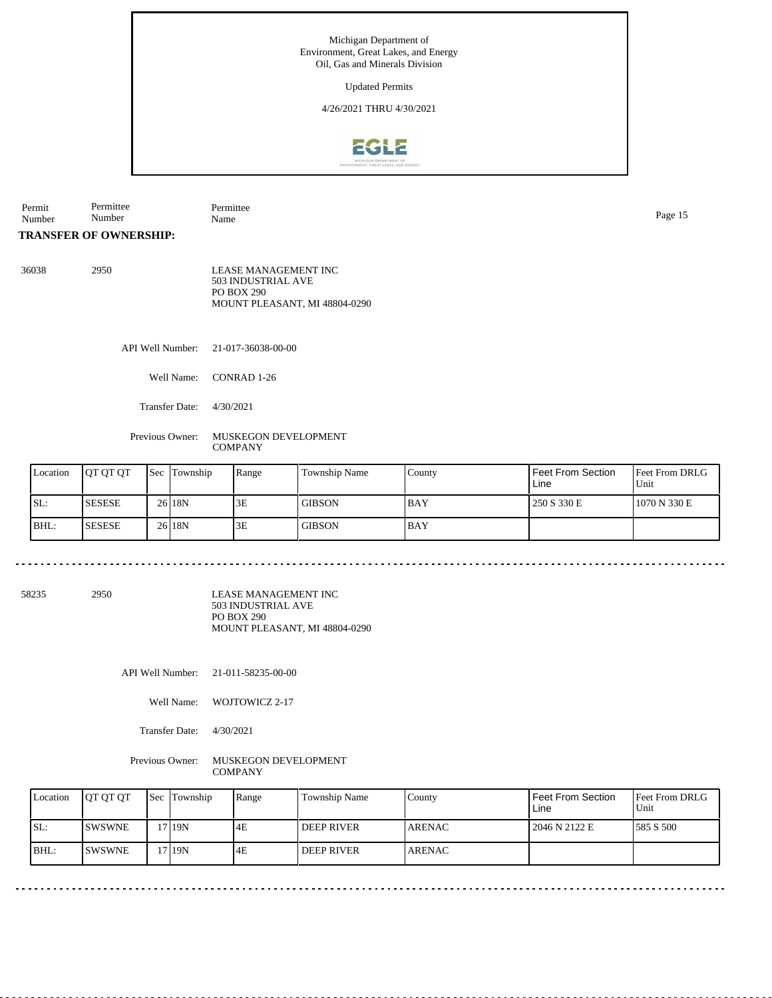#### Updated Permits

### 4/26/2021 THRU 4/30/2021



Permit Number Permittee Number Permittee Name Page 15

## **TRANSFER OF OWNERSHIP:**

| 36038 | 2950 | LEASE MANAGEMENT INC          |
|-------|------|-------------------------------|
|       |      | 503 INDUSTRIAL AVE            |
|       |      | PO BOX 290                    |
|       |      | MOUNT PLEASANT, MI 48804-0290 |

API Well Number: 21-017-36038-00-00

- Well Name: CONRAD 1-26
- Transfer Date: 4/30/2021

Previous Owner: MUSKEGON DEVELOPMENT **COMPANY** 

| Location | <b>OT OT OT</b> | <b>Sec</b> Township | Range | <b>Township Name</b> | County     | Feet From Section<br>Line | Feet From DRLG<br>Unit |
|----------|-----------------|---------------------|-------|----------------------|------------|---------------------------|------------------------|
| ISL:     | <b>ISESESE</b>  | 26 18N              | 3E    | <b>GIBSON</b>        | <b>BAY</b> | 250 S 330 E               | 1070 N 330 E           |
| BHL:     | <b>ISESESE</b>  | 26 18N              | 3E    | <b>GIBSON</b>        | <b>BAY</b> |                           |                        |

58235 2950

LEASE MANAGEMENT INC 503 INDUSTRIAL AVE PO BOX 290 MOUNT PLEASANT, MI 48804-0290

API Well Number: 21-011-58235-00-00

Well Name: WOJTOWICZ 2-17

Transfer Date: 4/30/2021

Previous Owner: MUSKEGON DEVELOPMENT **COMPANY** 

| Location | <b>IOT OT OT</b> | <b>Sec Township</b> | Range | Township Name     | County         | Feet From Section<br>Line | Feet From DRLG<br>Unit |
|----------|------------------|---------------------|-------|-------------------|----------------|---------------------------|------------------------|
| SL:      | <b>ISWSWNE</b>   | '719N               | I4F   | <b>DEEP RIVER</b> | <b>LARENAC</b> | 2046 N 2122 E             | 1585 S 500             |
| BHL:     | <b>ISWSWNE</b>   | <b>7119N</b>        | 4E    | <b>DEEP RIVER</b> | <b>ARENAC</b>  |                           |                        |